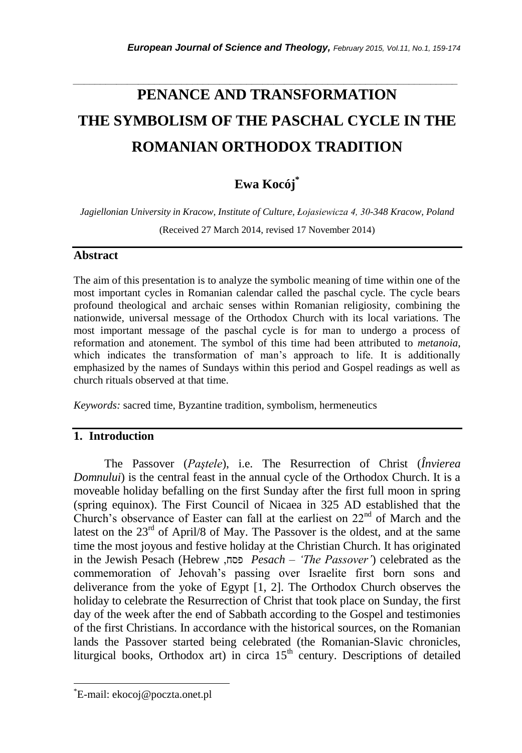# **PENANCE AND TRANSFORMATION THE SYMBOLISM OF THE PASCHAL CYCLE IN THE ROMANIAN ORTHODOX TRADITION**

*\_\_\_\_\_\_\_\_\_\_\_\_\_\_\_\_\_\_\_\_\_\_\_\_\_\_\_\_\_\_\_\_\_\_\_\_\_\_\_\_\_\_\_\_\_\_\_\_\_\_\_\_\_\_\_\_\_\_\_\_\_\_\_\_\_\_\_\_\_\_\_*

# **Ewa Kocój\***

*Jagiellonian University in Kracow, Institute of Culture, Łojasiewicza 4, 30-348 Kracow, Poland*

(Received 27 March 2014, revised 17 November 2014)

### **Abstract**

The aim of this presentation is to analyze the symbolic meaning of time within one of the most important cycles in Romanian calendar called the paschal cycle. The cycle bears profound theological and archaic senses within Romanian religiosity, combining the nationwide, universal message of the Orthodox Church with its local variations. The most important message of the paschal cycle is for man to undergo a process of reformation and atonement. The symbol of this time had been attributed to *metanoia*, which indicates the transformation of man's approach to life. It is additionally emphasized by the names of Sundays within this period and Gospel readings as well as church rituals observed at that time.

*Keywords:* sacred time, Byzantine tradition, symbolism, hermeneutics

# **1. Introduction**

The Passover (*Paştele*), i.e. The Resurrection of Christ (*Învierea Domnului*) is the central feast in the annual cycle of the Orthodox Church. It is a moveable holiday befalling on the first Sunday after the first full moon in spring (spring equinox). The First Council of Nicaea in 325 AD established that the Church's observance of Easter can fall at the earliest on  $22<sup>nd</sup>$  of March and the latest on the  $23<sup>rd</sup>$  of April/8 of May. The Passover is the oldest, and at the same time the most joyous and festive holiday at the Christian Church. It has originated in the Jewish Pesach (Hebrew ,פסח *Pesach* – *'The Passover'*) celebrated as the commemoration of Jehovah"s passing over Israelite first born sons and deliverance from the yoke of Egypt [1, 2]. The Orthodox Church observes the holiday to celebrate the Resurrection of Christ that took place on Sunday, the first day of the week after the end of Sabbath according to the Gospel and testimonies of the first Christians. In accordance with the historical sources, on the Romanian lands the Passover started being celebrated (the Romanian-Slavic chronicles, liturgical books, Orthodox art) in circa  $15<sup>th</sup>$  century. Descriptions of detailed

l

<sup>\*</sup>E-mail: ekocoj@poczta.onet.pl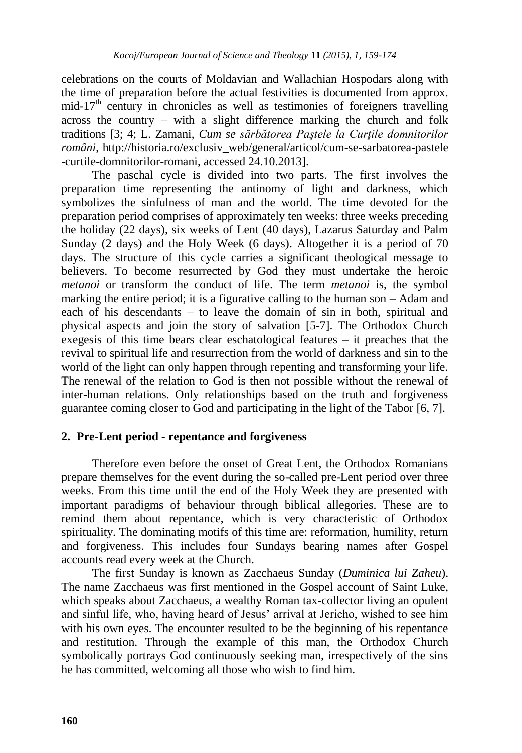celebrations on the courts of Moldavian and Wallachian Hospodars along with the time of preparation before the actual festivities is documented from approx.  $mid-17<sup>th</sup>$  century in chronicles as well as testimonies of foreigners travelling across the country – with a slight difference marking the church and folk traditions [3; 4; L. Zamani, *Cum se sărbătorea Paștele la Curțile domnitorilor români*, http://historia.ro/exclusiv\_web/general/articol/cum-se-sarbatorea-pastele -curtile-domnitorilor-romani, accessed 24.10.2013].

The paschal cycle is divided into two parts. The first involves the preparation time representing the antinomy of light and darkness, which symbolizes the sinfulness of man and the world. The time devoted for the preparation period comprises of approximately ten weeks: three weeks preceding the holiday (22 days), six weeks of Lent (40 days), Lazarus Saturday and Palm Sunday (2 days) and the Holy Week (6 days). Altogether it is a period of 70 days. The structure of this cycle carries a significant theological message to believers. To become resurrected by God they must undertake the heroic *metanoi* or transform the conduct of life. The term *metanoi* is, the symbol marking the entire period; it is a figurative calling to the human son – Adam and each of his descendants – to leave the domain of sin in both, spiritual and physical aspects and join the story of salvation [5-7]. The Orthodox Church exegesis of this time bears clear eschatological features – it preaches that the revival to spiritual life and resurrection from the world of darkness and sin to the world of the light can only happen through repenting and transforming your life. The renewal of the relation to God is then not possible without the renewal of inter-human relations. Only relationships based on the truth and forgiveness guarantee coming closer to God and participating in the light of the Tabor [6, 7].

# **2. Pre-Lent period - repentance and forgiveness**

Therefore even before the onset of Great Lent, the Orthodox Romanians prepare themselves for the event during the so-called pre-Lent period over three weeks. From this time until the end of the Holy Week they are presented with important paradigms of behaviour through biblical allegories. These are to remind them about repentance, which is very characteristic of Orthodox spirituality. The dominating motifs of this time are: reformation, humility, return and forgiveness. This includes four Sundays bearing names after Gospel accounts read every week at the Church.

The first Sunday is known as Zacchaeus Sunday (*Duminica lui Zaheu*). The name Zacchaeus was first mentioned in the Gospel account of Saint Luke, which speaks about Zacchaeus, a wealthy Roman tax-collector living an opulent and sinful life, who, having heard of Jesus" arrival at Jericho, wished to see him with his own eyes. The encounter resulted to be the beginning of his repentance and restitution. Through the example of this man, the Orthodox Church symbolically portrays God continuously seeking man, irrespectively of the sins he has committed, welcoming all those who wish to find him.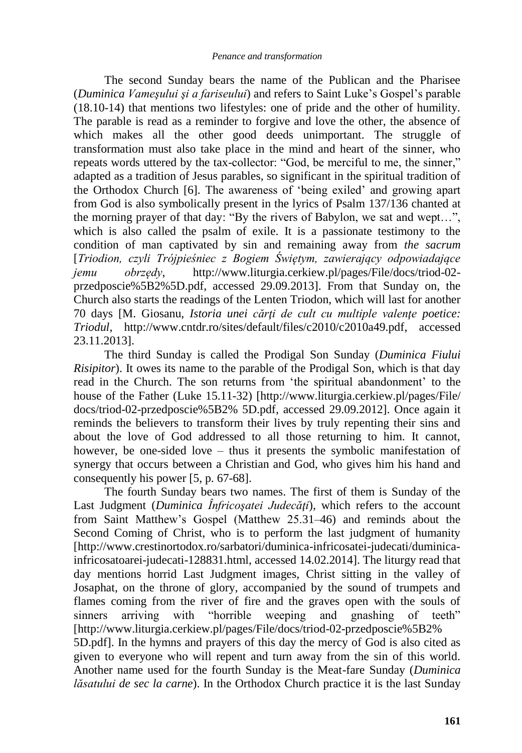The second Sunday bears the name of the Publican and the Pharisee (*Duminica Vameşului şi a fariseului*) and refers to Saint Luke"s Gospel"s parable (18.10-14) that mentions two lifestyles: one of pride and the other of humility. The parable is read as a reminder to forgive and love the other, the absence of which makes all the other good deeds unimportant. The struggle of transformation must also take place in the mind and heart of the sinner, who repeats words uttered by the tax-collector: "God, be merciful to me, the sinner," adapted as a tradition of Jesus parables, so significant in the spiritual tradition of the Orthodox Church [6]. The awareness of "being exiled" and growing apart from God is also symbolically present in the lyrics of Psalm 137/136 chanted at the morning prayer of that day: "By the rivers of Babylon, we sat and wept…", which is also called the psalm of exile. It is a passionate testimony to the condition of man captivated by sin and remaining away from *the sacrum* [*Triodion, czyli Trójpieśniec z Bogiem Świętym, zawierający odpowiadające jemu obrzędy*, http://www.liturgia.cerkiew.pl/pages/File/docs/triod-02 przedposcie%5B2%5D.pdf, accessed 29.09.2013]. From that Sunday on, the Church also starts the readings of the Lenten Triodon, which will last for another 70 days [M. Giosanu, *Istoria unei cărți de cult cu multiple valențe poetice: Triodul*, http://www.cntdr.ro/sites/default/files/c2010/c2010a49.pdf, accessed 23.11.2013].

The third Sunday is called the Prodigal Son Sunday (*Duminica Fiului Risipitor*). It owes its name to the parable of the Prodigal Son, which is that day read in the Church. The son returns from 'the spiritual abandonment' to the house of the Father (Luke 15.11-32) [http://www.liturgia.cerkiew.pl/pages/File/ docs/triod-02-przedposcie%5B2% 5D.pdf, accessed 29.09.2012]. Once again it reminds the believers to transform their lives by truly repenting their sins and about the love of God addressed to all those returning to him. It cannot, however, be one-sided love – thus it presents the symbolic manifestation of synergy that occurs between a Christian and God, who gives him his hand and consequently his power [5, p. 67-68].

The fourth Sunday bears two names. The first of them is Sunday of the Last Judgment (*Duminica Înfricoșatei Judecăți*), which refers to the account from Saint Matthew"s Gospel (Matthew 25.31–46) and reminds about the Second Coming of Christ, who is to perform the last judgment of humanity [http://www.crestinortodox.ro/sarbatori/duminica-infricosatei-judecati/duminicainfricosatoarei-judecati-128831.html, accessed 14.02.2014]. The liturgy read that day mentions horrid Last Judgment images, Christ sitting in the valley of Josaphat, on the throne of glory, accompanied by the sound of trumpets and flames coming from the river of fire and the graves open with the souls of sinners arriving with "horrible weeping and gnashing of teeth" [http://www.liturgia.cerkiew.pl/pages/File/docs/triod-02-przedposcie%5B2% 5D.pdf]. In the hymns and prayers of this day the mercy of God is also cited as

given to everyone who will repent and turn away from the sin of this world. Another name used for the fourth Sunday is the Meat-fare Sunday (*Duminica lăsatului de sec la carne*). In the Orthodox Church practice it is the last Sunday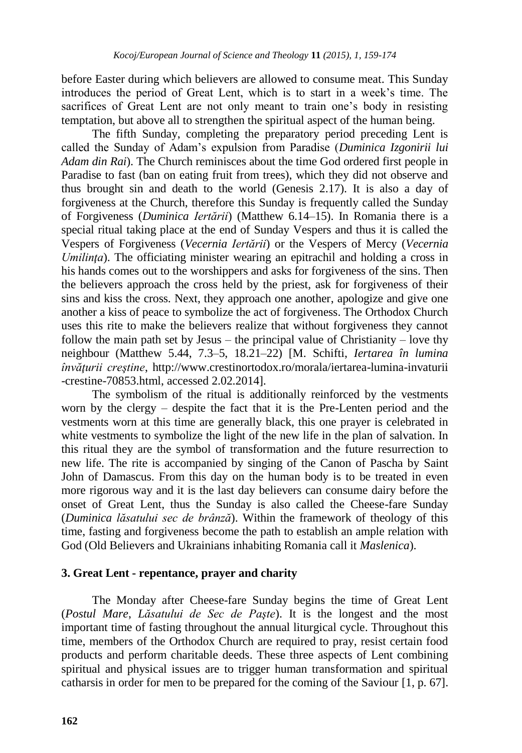before Easter during which believers are allowed to consume meat. This Sunday introduces the period of Great Lent, which is to start in a week"s time. The sacrifices of Great Lent are not only meant to train one"s body in resisting temptation, but above all to strengthen the spiritual aspect of the human being.

The fifth Sunday, completing the preparatory period preceding Lent is called the Sunday of Adam"s expulsion from Paradise (*Duminica Izgonirii lui Adam din Rai*). The Church reminisces about the time God ordered first people in Paradise to fast (ban on eating fruit from trees), which they did not observe and thus brought sin and death to the world (Genesis 2.17). It is also a day of forgiveness at the Church, therefore this Sunday is frequently called the Sunday of Forgiveness (*Duminica Iertării*) (Matthew 6.14–15). In Romania there is a special ritual taking place at the end of Sunday Vespers and thus it is called the Vespers of Forgiveness (*Vecernia Iertării*) or the Vespers of Mercy (*Vecernia Umilinta*). The officiating minister wearing an epitrachil and holding a cross in his hands comes out to the worshippers and asks for forgiveness of the sins. Then the believers approach the cross held by the priest, ask for forgiveness of their sins and kiss the cross. Next, they approach one another, apologize and give one another a kiss of peace to symbolize the act of forgiveness. The Orthodox Church uses this rite to make the believers realize that without forgiveness they cannot follow the main path set by Jesus – the principal value of Christianity – love thy neighbour (Matthew 5.44, 7.3–5, 18.21–22) [M. Schifti, *Iertarea în lumina învăŝurii creştine*, http://www.crestinortodox.ro/morala/iertarea-lumina-invaturii -crestine-70853.html, accessed 2.02.2014].

The symbolism of the ritual is additionally reinforced by the vestments worn by the clergy – despite the fact that it is the Pre-Lenten period and the vestments worn at this time are generally black, this one prayer is celebrated in white vestments to symbolize the light of the new life in the plan of salvation. In this ritual they are the symbol of transformation and the future resurrection to new life. The rite is accompanied by singing of the Canon of Pascha by Saint John of Damascus. From this day on the human body is to be treated in even more rigorous way and it is the last day believers can consume dairy before the onset of Great Lent, thus the Sunday is also called the Cheese-fare Sunday (*Duminica lăsatului sec de brânză*). Within the framework of theology of this time, fasting and forgiveness become the path to establish an ample relation with God (Old Believers and Ukrainians inhabiting Romania call it *Maslenica*).

#### **3. Great Lent - repentance, prayer and charity**

The Monday after Cheese-fare Sunday begins the time of Great Lent (*Postul Mare*, *Lăsatului de Sec de Paşte*). It is the longest and the most important time of fasting throughout the annual liturgical cycle. Throughout this time, members of the Orthodox Church are required to pray, resist certain food products and perform charitable deeds. These three aspects of Lent combining spiritual and physical issues are to trigger human transformation and spiritual catharsis in order for men to be prepared for the coming of the Saviour [1, p. 67].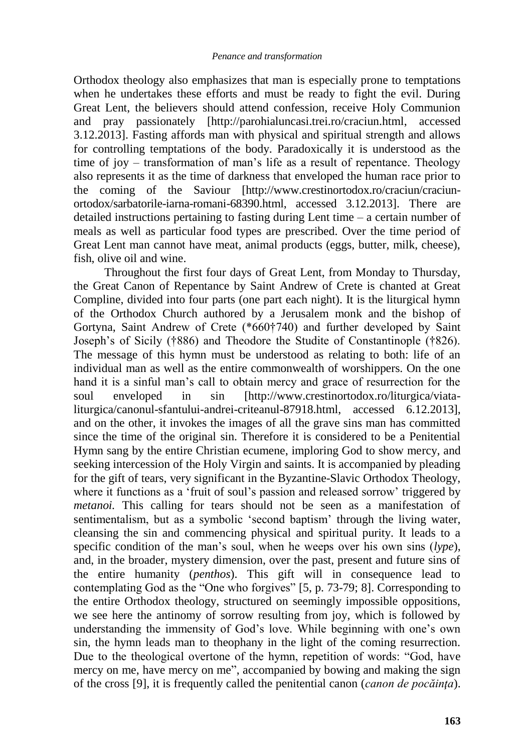Orthodox theology also emphasizes that man is especially prone to temptations when he undertakes these efforts and must be ready to fight the evil. During Great Lent, the believers should attend confession, receive Holy Communion and pray passionately [http://parohialuncasi.trei.ro/craciun.html, accessed 3.12.2013]. Fasting affords man with physical and spiritual strength and allows for controlling temptations of the body. Paradoxically it is understood as the time of joy – transformation of man's life as a result of repentance. Theology also represents it as the time of darkness that enveloped the human race prior to the coming of the Saviour [http://www.crestinortodox.ro/craciun/craciunortodox/sarbatorile-iarna-romani-68390.html, accessed 3.12.2013]. There are detailed instructions pertaining to fasting during Lent time – a certain number of meals as well as particular food types are prescribed. Over the time period of Great Lent man cannot have meat, animal products (eggs, butter, milk, cheese), fish, olive oil and wine.

Throughout the first four days of Great Lent, from Monday to Thursday, the Great Canon of Repentance by Saint Andrew of Crete is chanted at Great Compline, divided into four parts (one part each night). It is the liturgical hymn of the Orthodox Church authored by a Jerusalem monk and the bishop of Gortyna, Saint Andrew of Crete (\*660†740) and further developed by Saint Joseph"s of Sicily (†886) and Theodore the Studite of Constantinople (†826). The message of this hymn must be understood as relating to both: life of an individual man as well as the entire commonwealth of worshippers. On the one hand it is a sinful man's call to obtain mercy and grace of resurrection for the soul enveloped in sin [http://www.crestinortodox.ro/liturgica/viataliturgica/canonul-sfantului-andrei-criteanul-87918.html, accessed 6.12.2013], and on the other, it invokes the images of all the grave sins man has committed since the time of the original sin. Therefore it is considered to be a Penitential Hymn sang by the entire Christian ecumene, imploring God to show mercy, and seeking intercession of the Holy Virgin and saints. It is accompanied by pleading for the gift of tears, very significant in the Byzantine-Slavic Orthodox Theology, where it functions as a 'fruit of soul's passion and released sorrow' triggered by *metanoi.* This calling for tears should not be seen as a manifestation of sentimentalism, but as a symbolic 'second baptism' through the living water, cleansing the sin and commencing physical and spiritual purity. It leads to a specific condition of the man's soul, when he weeps over his own sins (*lype*), and, in the broader, mystery dimension, over the past, present and future sins of the entire humanity (*penthos*). This gift will in consequence lead to contemplating God as the "One who forgives" [5, p. 73-79; 8]. Corresponding to the entire Orthodox theology, structured on seemingly impossible oppositions, we see here the antinomy of sorrow resulting from joy, which is followed by understanding the immensity of God"s love. While beginning with one"s own sin, the hymn leads man to theophany in the light of the coming resurrection. Due to the theological overtone of the hymn, repetition of words: "God, have mercy on me, have mercy on me", accompanied by bowing and making the sign of the cross [9], it is frequently called the penitential canon (*canon de pocăința*).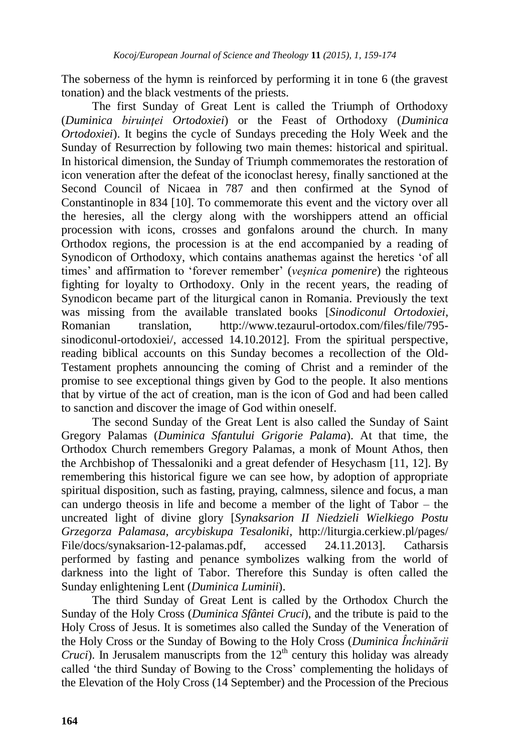The soberness of the hymn is reinforced by performing it in tone 6 (the gravest tonation) and the black vestments of the priests.

The first Sunday of Great Lent is called the Triumph of Orthodoxy (*Duminica biruinței Ortodoxiei*) or the Feast of Orthodoxy (*Duminica Ortodoxiei*). It begins the cycle of Sundays preceding the Holy Week and the Sunday of Resurrection by following two main themes: historical and spiritual. In historical dimension, the Sunday of Triumph commemorates the restoration of icon veneration after the defeat of the iconoclast heresy, finally sanctioned at the Second Council of Nicaea in 787 and then confirmed at the Synod of Constantinople in 834 [10]. To commemorate this event and the victory over all the heresies, all the clergy along with the worshippers attend an official procession with icons, crosses and gonfalons around the church. In many Orthodox regions, the procession is at the end accompanied by a reading of Synodicon of Orthodoxy, which contains anathemas against the heretics "of all times' and affirmation to 'forever remember' (*vesnica pomenire*) the righteous fighting for loyalty to Orthodoxy. Only in the recent years, the reading of Synodicon became part of the liturgical canon in Romania. Previously the text was missing from the available translated books [*Sinodiconul Ortodoxiei*, Romanian translation, http://www.tezaurul-ortodox.com/files/file/795 sinodiconul-ortodoxiei/, accessed 14.10.2012]. From the spiritual perspective, reading biblical accounts on this Sunday becomes a recollection of the Old-Testament prophets announcing the coming of Christ and a reminder of the promise to see exceptional things given by God to the people. It also mentions that by virtue of the act of creation, man is the icon of God and had been called to sanction and discover the image of God within oneself.

The second Sunday of the Great Lent is also called the Sunday of Saint Gregory Palamas (*Duminica Sfantului Grigorie Palama*). At that time, the Orthodox Church remembers Gregory Palamas, a monk of Mount Athos, then the Archbishop of Thessaloniki and a great defender of Hesychasm [11, 12]. By remembering this historical figure we can see how, by adoption of appropriate spiritual disposition, such as fasting, praying, calmness, silence and focus, a man can undergo theosis in life and become a member of the light of Tabor – the uncreated light of divine glory [*Synaksarion II Niedzieli Wielkiego Postu Grzegorza Palamasa, arcybiskupa Tesaloniki*, http://liturgia.cerkiew.pl/pages/ File/docs/synaksarion-12-palamas.pdf, accessed 24.11.2013]. Catharsis performed by fasting and penance symbolizes walking from the world of darkness into the light of Tabor. Therefore this Sunday is often called the Sunday enlightening Lent (*Duminica Luminii*).

The third Sunday of Great Lent is called by the Orthodox Church the Sunday of the Holy Cross (*Duminica Sfântei Cruci*), and the tribute is paid to the Holy Cross of Jesus. It is sometimes also called the Sunday of the Veneration of the Holy Cross or the Sunday of Bowing to the Holy Cross (*Duminica Închinării Cruci*). In Jerusalem manuscripts from the  $12<sup>th</sup>$  century this holiday was already called "the third Sunday of Bowing to the Cross" complementing the holidays of the Elevation of the Holy Cross (14 September) and the Procession of the Precious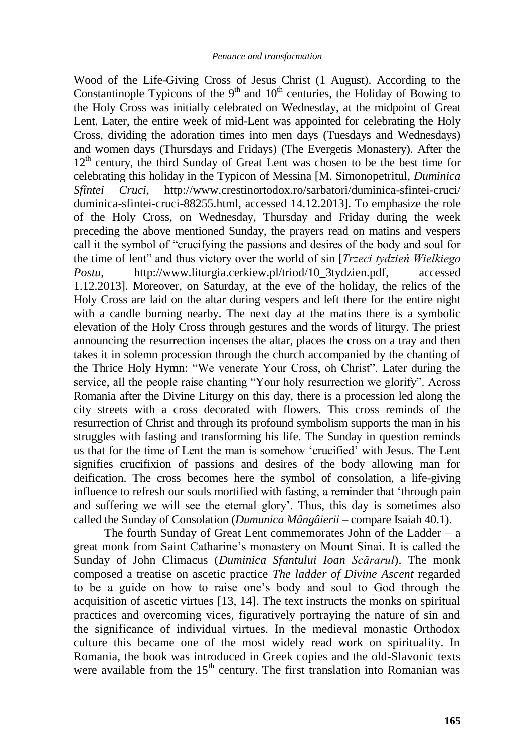Wood of the Life-Giving Cross of Jesus Christ (1 August). According to the Constantinople Typicons of the  $9<sup>th</sup>$  and  $10<sup>th</sup>$  centuries, the Holiday of Bowing to the Holy Cross was initially celebrated on Wednesday, at the midpoint of Great Lent. Later, the entire week of mid-Lent was appointed for celebrating the Holy Cross, dividing the adoration times into men days (Tuesdays and Wednesdays) and women days (Thursdays and Fridays) (The Evergetis Monastery). After the  $12<sup>th</sup>$  century, the third Sunday of Great Lent was chosen to be the best time for celebrating this holiday in the Typicon of Messina [M. Simonopetritul*, Duminica Sfîntei Cruci,* http://www.crestinortodox.ro/sarbatori/duminica-sfintei-cruci/ duminica-sfintei-cruci-88255.html, accessed 14.12.2013]. To emphasize the role of the Holy Cross, on Wednesday, Thursday and Friday during the week preceding the above mentioned Sunday, the prayers read on matins and vespers call it the symbol of "crucifying the passions and desires of the body and soul for the time of lent" and thus victory over the world of sin [*Trzeci tydzień Wielkiego Postu*, http://www.liturgia.cerkiew.pl/triod/10\_3tydzien.pdf, accessed 1.12.2013]. Moreover, on Saturday, at the eve of the holiday, the relics of the Holy Cross are laid on the altar during vespers and left there for the entire night with a candle burning nearby. The next day at the matins there is a symbolic elevation of the Holy Cross through gestures and the words of liturgy. The priest announcing the resurrection incenses the altar, places the cross on a tray and then takes it in solemn procession through the church accompanied by the chanting of the Thrice Holy Hymn: "We venerate Your Cross, oh Christ". Later during the service, all the people raise chanting "Your holy resurrection we glorify". Across Romania after the Divine Liturgy on this day, there is a procession led along the city streets with a cross decorated with flowers. This cross reminds of the resurrection of Christ and through its profound symbolism supports the man in his struggles with fasting and transforming his life. The Sunday in question reminds us that for the time of Lent the man is somehow "crucified" with Jesus. The Lent signifies crucifixion of passions and desires of the body allowing man for deification. The cross becomes here the symbol of consolation, a life-giving influence to refresh our souls mortified with fasting, a reminder that "through pain and suffering we will see the eternal glory'. Thus, this day is sometimes also called the Sunday of Consolation (*Dumunica Mângâierii* – compare Isaiah 40.1).

The fourth Sunday of Great Lent commemorates John of the Ladder – a great monk from Saint Catharine"s monastery on Mount Sinai. It is called the Sunday of John Climacus (*Duminica Sfantului Ioan Scărarul*). The monk composed a treatise on ascetic practice *The ladder of Divine Ascent* regarded to be a guide on how to raise one"s body and soul to God through the acquisition of ascetic virtues [13, 14]. The text instructs the monks on spiritual practices and overcoming vices, figuratively portraying the nature of sin and the significance of individual virtues. In the medieval monastic Orthodox culture this became one of the most widely read work on spirituality. In Romania, the book was introduced in Greek copies and the old-Slavonic texts were available from the  $15<sup>th</sup>$  century. The first translation into Romanian was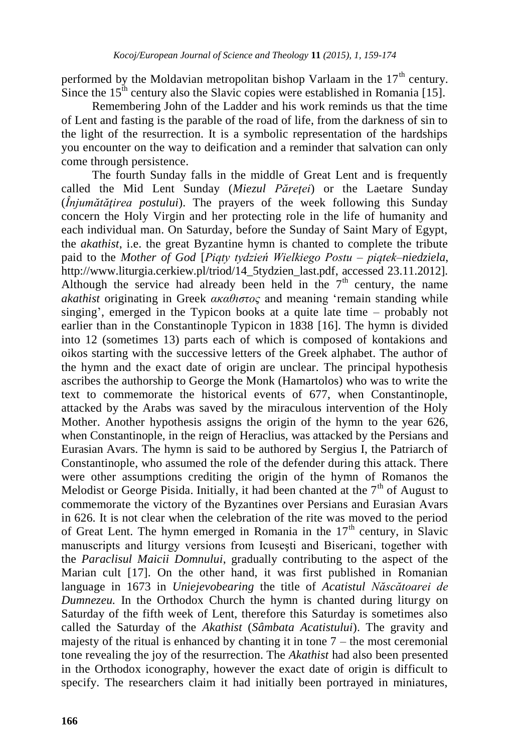performed by the Moldavian metropolitan bishop Varlaam in the  $17<sup>th</sup>$  century. Since the  $15<sup>th</sup>$  century also the Slavic copies were established in Romania [15].

Remembering John of the Ladder and his work reminds us that the time of Lent and fasting is the parable of the road of life, from the darkness of sin to the light of the resurrection. It is a symbolic representation of the hardships you encounter on the way to deification and a reminder that salvation can only come through persistence.

The fourth Sunday falls in the middle of Great Lent and is frequently called the Mid Lent Sunday (*Miezul Păreței*) or the Laetare Sunday (*Înjumătățirea postului*). The prayers of the week following this Sunday concern the Holy Virgin and her protecting role in the life of humanity and each individual man. On Saturday, before the Sunday of Saint Mary of Egypt, the *akathist*, i.e. the great Byzantine hymn is chanted to complete the tribute paid to the *Mother of God* [*Piąty tydzień Wielkiego Postu – piątek–niedziela*, http://www.liturgia.cerkiew.pl/triod/14\_5tydzien\_last.pdf, accessed 23.11.2012]*.* Although the service had already been held in the  $7<sup>th</sup>$  century, the name *akathist* originating in Greek *ακαθιστος* and meaning "remain standing while singing", emerged in the Typicon books at a quite late time – probably not earlier than in the Constantinople Typicon in 1838 [16]. The hymn is divided into 12 (sometimes 13) parts each of which is composed of kontakions and oikos starting with the successive letters of the Greek alphabet. The author of the hymn and the exact date of origin are unclear. The principal hypothesis ascribes the authorship to George the Monk (Hamartolos) who was to write the text to commemorate the historical events of 677, when Constantinople, attacked by the Arabs was saved by the miraculous intervention of the Holy Mother. Another hypothesis assigns the origin of the hymn to the year 626, when Constantinople, in the reign of Heraclius, was attacked by the Persians and Eurasian Avars. The hymn is said to be authored by Sergius I, the Patriarch of Constantinople, who assumed the role of the defender during this attack. There were other assumptions crediting the origin of the hymn of Romanos the Melodist or George Pisida. Initially, it had been chanted at the  $7<sup>th</sup>$  of August to commemorate the victory of the Byzantines over Persians and Eurasian Avars in 626. It is not clear when the celebration of the rite was moved to the period of Great Lent. The hymn emerged in Romania in the  $17<sup>th</sup>$  century, in Slavic manuscripts and liturgy versions from Icuseşti and Bisericani, together with the *Paraclisul Maicii Domnului*, gradually contributing to the aspect of the Marian cult [17]. On the other hand, it was first published in Romanian language in 1673 in *Uniejevobearing* the title of *Acatistul Născătoarei de Dumnezeu.* In the Orthodox Church the hymn is chanted during liturgy on Saturday of the fifth week of Lent, therefore this Saturday is sometimes also called the Saturday of the *Akathist* (*Sâmbata Acatistului*). The gravity and majesty of the ritual is enhanced by chanting it in tone  $7$  – the most ceremonial tone revealing the joy of the resurrection. The *Akathist* had also been presented in the Orthodox iconography, however the exact date of origin is difficult to specify. The researchers claim it had initially been portrayed in miniatures,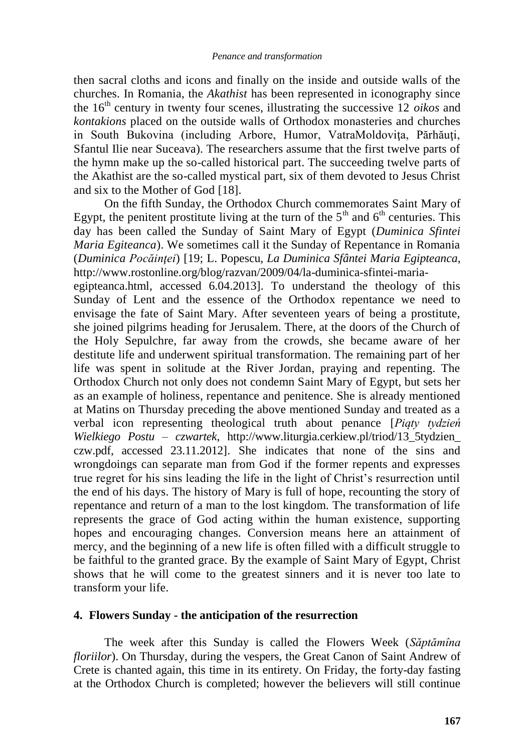then sacral cloths and icons and finally on the inside and outside walls of the churches. In Romania, the *Akathist* has been represented in iconography since the 16<sup>th</sup> century in twenty four scenes, illustrating the successive 12 *oikos* and *kontakions* placed on the outside walls of Orthodox monasteries and churches in South Bukovina (including Arbore, Humor, VatraMoldoviţa, Părhăuţi, Sfantul Ilie near Suceava). The researchers assume that the first twelve parts of the hymn make up the so-called historical part. The succeeding twelve parts of the Akathist are the so-called mystical part, six of them devoted to Jesus Christ and six to the Mother of God [18].

On the fifth Sunday, the Orthodox Church commemorates Saint Mary of Egypt, the penitent prostitute living at the turn of the  $5<sup>th</sup>$  and  $6<sup>th</sup>$  centuries. This day has been called the Sunday of Saint Mary of Egypt (*Duminica Sfintei Maria Egiteanca*). We sometimes call it the Sunday of Repentance in Romania (*Duminica Pocăinŝei*) [19; L. Popescu, *La Duminica Sfântei Maria Egipteanca*, http://www.rostonline.org/blog/razvan/2009/04/la-duminica-sfintei-maria-

egipteanca.html, accessed 6.04.2013]. To understand the theology of this Sunday of Lent and the essence of the Orthodox repentance we need to envisage the fate of Saint Mary. After seventeen years of being a prostitute, she joined pilgrims heading for Jerusalem. There, at the doors of the Church of the Holy Sepulchre, far away from the crowds, she became aware of her destitute life and underwent spiritual transformation. The remaining part of her life was spent in solitude at the River Jordan, praying and repenting. The Orthodox Church not only does not condemn Saint Mary of Egypt, but sets her as an example of holiness, repentance and penitence. She is already mentioned at Matins on Thursday preceding the above mentioned Sunday and treated as a verbal icon representing theological truth about penance [*Piąty tydzień Wielkiego Postu – czwartek*, http://www.liturgia.cerkiew.pl/triod/13\_5tydzien\_ czw.pdf, accessed 23.11.2012]. She indicates that none of the sins and wrongdoings can separate man from God if the former repents and expresses true regret for his sins leading the life in the light of Christ"s resurrection until the end of his days. The history of Mary is full of hope, recounting the story of repentance and return of a man to the lost kingdom. The transformation of life represents the grace of God acting within the human existence, supporting hopes and encouraging changes. Conversion means here an attainment of mercy, and the beginning of a new life is often filled with a difficult struggle to be faithful to the granted grace. By the example of Saint Mary of Egypt, Christ shows that he will come to the greatest sinners and it is never too late to transform your life.

#### **4. Flowers Sunday - the anticipation of the resurrection**

The week after this Sunday is called the Flowers Week (*Săptămîna floriilor*). On Thursday, during the vespers, the Great Canon of Saint Andrew of Crete is chanted again, this time in its entirety. On Friday, the forty-day fasting at the Orthodox Church is completed; however the believers will still continue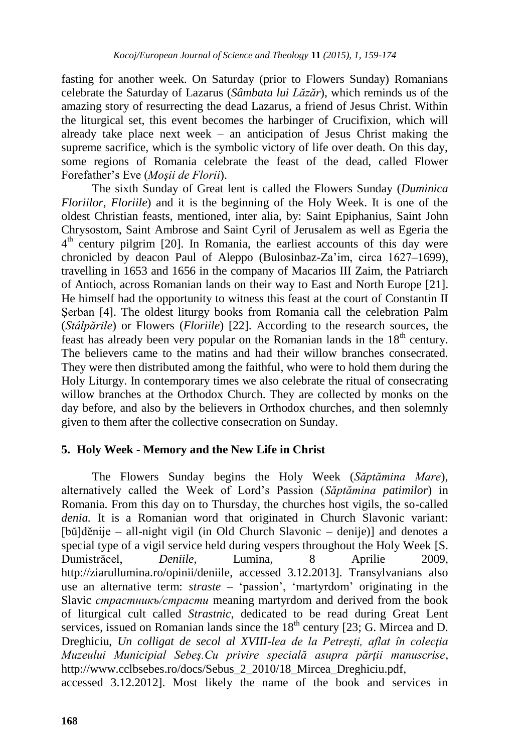fasting for another week. On Saturday (prior to Flowers Sunday) Romanians celebrate the Saturday of Lazarus (*Sâmbata lui Lăzăr*), which reminds us of the amazing story of resurrecting the dead Lazarus, a friend of Jesus Christ. Within the liturgical set, this event becomes the harbinger of Crucifixion, which will already take place next week – an anticipation of Jesus Christ making the supreme sacrifice, which is the symbolic victory of life over death. On this day, some regions of Romania celebrate the feast of the dead, called Flower Forefather"s Eve (*Moşii de Florii*).

The sixth Sunday of Great lent is called the Flowers Sunday (*Duminica Floriilor*, *Floriile*) and it is the beginning of the Holy Week. It is one of the oldest Christian feasts, mentioned, inter alia, by: Saint Epiphanius, Saint John Chrysostom, Saint Ambrose and Saint Cyril of Jerusalem as well as Egeria the 4<sup>th</sup> century pilgrim [20]. In Romania, the earliest accounts of this day were chronicled by deacon Paul of Aleppo (Bulosinbaz-Za"im, circa 1627–1699), travelling in 1653 and 1656 in the company of Macarios III Zaim, the Patriarch of Antioch, across Romanian lands on their way to East and North Europe [21]. He himself had the opportunity to witness this feast at the court of Constantin II Şerban [4]. The oldest liturgy books from Romania call the celebration Palm (*Stâlpările*) or Flowers (*Floriile*) [22]. According to the research sources, the feast has already been very popular on the Romanian lands in the  $18<sup>th</sup>$  century. The believers came to the matins and had their willow branches consecrated. They were then distributed among the faithful, who were to hold them during the Holy Liturgy. In contemporary times we also celebrate the ritual of consecrating willow branches at the Orthodox Church. They are collected by monks on the day before, and also by the believers in Orthodox churches, and then solemnly given to them after the collective consecration on Sunday.

# **5. Holy Week - Memory and the New Life in Christ**

The Flowers Sunday begins the Holy Week (*Săptămina Mare*), alternatively called the Week of Lord"s Passion (*Săptămina patimilor*) in Romania. From this day on to Thursday, the churches host vigils, the so-called *denia.* It is a Romanian word that originated in Church Slavonic variant: [bŭ]dĕnije – all-night vigil (in Old Church Slavonic – denije)] and denotes a special type of a vigil service held during vespers throughout the Holy Week [S. Dumistrăcel, *Deniile*, Lumina, 8 Aprilie 2009, http://ziarullumina.ro/opinii/deniile, accessed 3.12.2013]. Transylvanians also use an alternative term: *straste* – 'passion', 'martyrdom' originating in the Slavic *cтрaстникъ/cтрасти* meaning martyrdom and derived from the book of liturgical cult called *Strastnic*, dedicated to be read during Great Lent services, issued on Romanian lands since the  $18<sup>th</sup>$  century [23; G. Mircea and D. Dreghiciu, Un colligat de secol al XVIII-lea de la Petresti, aflat în colectia *Muzeului Municipial Sebeş.Cu privire specială asupra părŝii manuscrise*, http://www.cclbsebes.ro/docs/Sebus\_2\_2010/18\_Mircea\_Dreghiciu.pdf, accessed 3.12.2012]. Most likely the name of the book and services in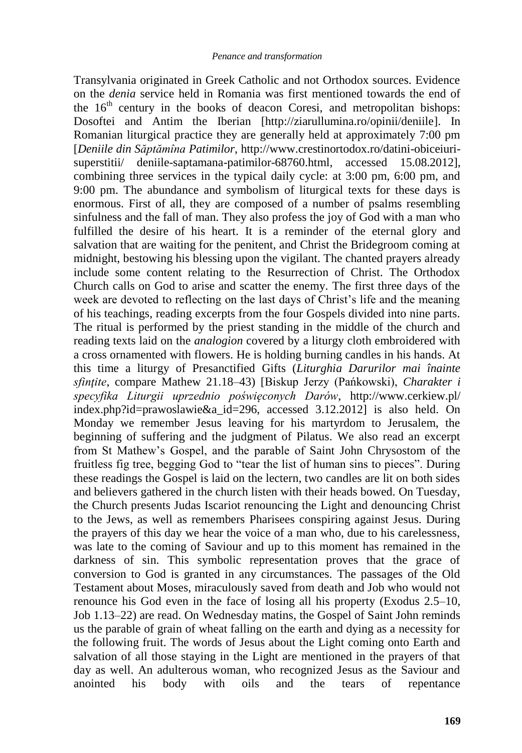Transylvania originated in Greek Catholic and not Orthodox sources. Evidence on the *denia* service held in Romania was first mentioned towards the end of the  $16<sup>th</sup>$  century in the books of deacon Coresi, and metropolitan bishops: Dosoftei and Antim the Iberian [http://ziarullumina.ro/opinii/deniile]. In Romanian liturgical practice they are generally held at approximately 7:00 pm [*Deniile din Săptămîna Patimilor*, http://www.crestinortodox.ro/datini-obiceiurisuperstitii/ deniile-saptamana-patimilor-68760.html, accessed 15.08.2012], combining three services in the typical daily cycle: at 3:00 pm, 6:00 pm, and 9:00 pm. The abundance and symbolism of liturgical texts for these days is enormous. First of all, they are composed of a number of psalms resembling sinfulness and the fall of man. They also profess the joy of God with a man who fulfilled the desire of his heart. It is a reminder of the eternal glory and salvation that are waiting for the penitent, and Christ the Bridegroom coming at midnight, bestowing his blessing upon the vigilant. The chanted prayers already include some content relating to the Resurrection of Christ. The Orthodox Church calls on God to arise and scatter the enemy. The first three days of the week are devoted to reflecting on the last days of Christ"s life and the meaning of his teachings, reading excerpts from the four Gospels divided into nine parts. The ritual is performed by the priest standing in the middle of the church and reading texts laid on the *analogion* covered by a liturgy cloth embroidered with a cross ornamented with flowers. He is holding burning candles in his hands. At this time a liturgy of Presanctified Gifts (*Liturghia Darurilor mai înainte sfinŝite*, compare Mathew 21.18–43) [Biskup Jerzy (Pańkowski), *Charakter i specyfika Liturgii uprzednio poświęconych Darów*, http://www.cerkiew.pl/ index.php?id=prawoslawie&a\_id=296, accessed 3.12.2012] is also held. On Monday we remember Jesus leaving for his martyrdom to Jerusalem, the beginning of suffering and the judgment of Pilatus. We also read an excerpt from St Mathew"s Gospel, and the parable of Saint John Chrysostom of the fruitless fig tree, begging God to "tear the list of human sins to pieces". During these readings the Gospel is laid on the lectern, two candles are lit on both sides and believers gathered in the church listen with their heads bowed. On Tuesday, the Church presents Judas Iscariot renouncing the Light and denouncing Christ to the Jews, as well as remembers Pharisees conspiring against Jesus. During the prayers of this day we hear the voice of a man who, due to his carelessness, was late to the coming of Saviour and up to this moment has remained in the darkness of sin. This symbolic representation proves that the grace of conversion to God is granted in any circumstances. The passages of the Old Testament about Moses, miraculously saved from death and Job who would not renounce his God even in the face of losing all his property (Exodus 2.5–10, Job 1.13–22) are read. On Wednesday matins, the Gospel of Saint John reminds us the parable of grain of wheat falling on the earth and dying as a necessity for the following fruit. The words of Jesus about the Light coming onto Earth and salvation of all those staying in the Light are mentioned in the prayers of that day as well. An adulterous woman, who recognized Jesus as the Saviour and anointed his body with oils and the tears of repentance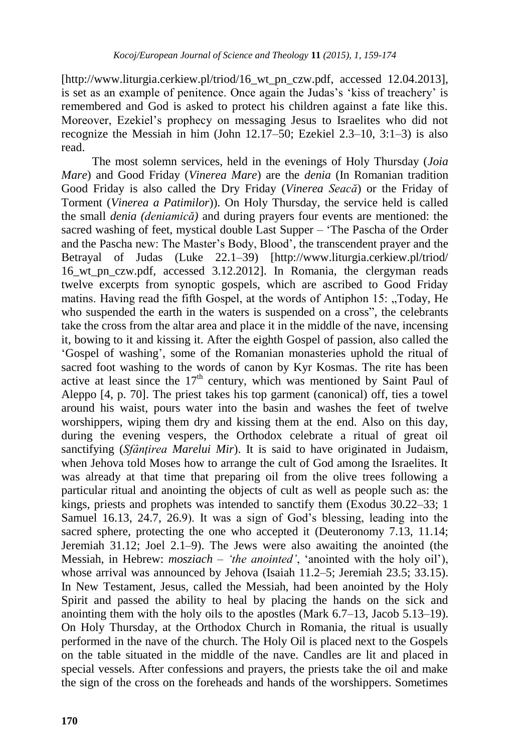[http://www.liturgia.cerkiew.pl/triod/16\_wt\_pn\_czw.pdf, accessed 12.04.2013], is set as an example of penitence. Once again the Judas's 'kiss of treachery' is remembered and God is asked to protect his children against a fate like this. Moreover, Ezekiel"s prophecy on messaging Jesus to Israelites who did not recognize the Messiah in him (John 12.17–50; Ezekiel 2.3–10, 3:1–3) is also read.

The most solemn services, held in the evenings of Holy Thursday (*Joia Mare*) and Good Friday (*Vinerea Mare*) are the *denia* (In Romanian tradition Good Friday is also called the Dry Friday (*Vinerea Seacă*) or the Friday of Torment (*Vinerea a Patimilor*)). On Holy Thursday, the service held is called the small *denia (deniamică)* and during prayers four events are mentioned: the sacred washing of feet, mystical double Last Supper – "The Pascha of the Order and the Pascha new: The Master"s Body, Blood", the transcendent prayer and the Betrayal of Judas (Luke 22.1–39) [http://www.liturgia.cerkiew.pl/triod/ 16\_wt\_pn\_czw.pdf, accessed 3.12.2012]. In Romania, the clergyman reads twelve excerpts from synoptic gospels, which are ascribed to Good Friday matins. Having read the fifth Gospel, at the words of Antiphon 15: "Today, He who suspended the earth in the waters is suspended on a cross", the celebrants take the cross from the altar area and place it in the middle of the nave, incensing it, bowing to it and kissing it. After the eighth Gospel of passion, also called the "Gospel of washing", some of the Romanian monasteries uphold the ritual of sacred foot washing to the words of canon by Kyr Kosmas. The rite has been active at least since the  $17<sup>th</sup>$  century, which was mentioned by Saint Paul of Aleppo [4, p. 70]. The priest takes his top garment (canonical) off, ties a towel around his waist, pours water into the basin and washes the feet of twelve worshippers, wiping them dry and kissing them at the end. Also on this day, during the evening vespers, the Orthodox celebrate a ritual of great oil sanctifying (*Sfânțirea Marelui Mir*). It is said to have originated in Judaism, when Jehova told Moses how to arrange the cult of God among the Israelites. It was already at that time that preparing oil from the olive trees following a particular ritual and anointing the objects of cult as well as people such as: the kings, priests and prophets was intended to sanctify them (Exodus 30.22–33; 1 Samuel 16.13, 24.7, 26.9). It was a sign of God's blessing, leading into the sacred sphere, protecting the one who accepted it (Deuteronomy 7.13, 11.14; Jeremiah 31.12; Joel 2.1–9). The Jews were also awaiting the anointed (the Messiah, in Hebrew: *mosziach – 'the anointed'*, "anointed with the holy oil"), whose arrival was announced by Jehova (Isaiah 11.2–5; Jeremiah 23.5; 33.15). In New Testament, Jesus, called the Messiah, had been anointed by the Holy Spirit and passed the ability to heal by placing the hands on the sick and anointing them with the holy oils to the apostles (Mark 6.7–13, Jacob 5.13–19). On Holy Thursday, at the Orthodox Church in Romania, the ritual is usually performed in the nave of the church. The Holy Oil is placed next to the Gospels on the table situated in the middle of the nave. Candles are lit and placed in special vessels. After confessions and prayers, the priests take the oil and make the sign of the cross on the foreheads and hands of the worshippers. Sometimes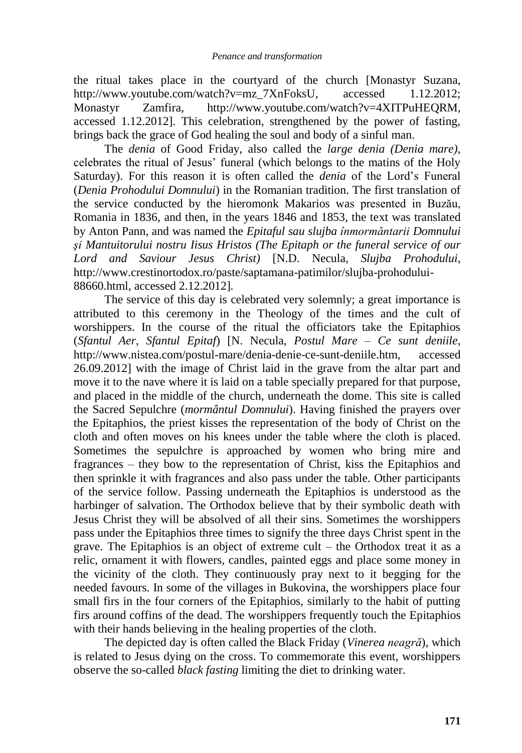the ritual takes place in the courtyard of the church [Monastyr Suzana, http://www.youtube.com/watch?v=mz\_7XnFoksU, accessed 1.12.2012; Monastyr Zamfira, http://www.youtube.com/watch?v=4XITPuHEQRM, accessed 1.12.2012]. This celebration, strengthened by the power of fasting, brings back the grace of God healing the soul and body of a sinful man.

The *denia* of Good Friday, also called the *large denia (Denia mare)*, celebrates the ritual of Jesus" funeral (which belongs to the matins of the Holy Saturday). For this reason it is often called the *denia* of the Lord's Funeral (*Denia Prohodului Domnului*) in the Romanian tradition. The first translation of the service conducted by the hieromonk Makarios was presented in Buzău, Romania in 1836, and then, in the years 1846 and 1853, the text was translated by Anton Pann, and was named the *Epitaful sau slujba înmormăntarii Domnului şi Mantuitorului nostru Iisus Hristos (The Epitaph or the funeral service of our Lord and Saviour Jesus Christ)* [N.D. Necula, *Slujba Prohodului*, http://www.crestinortodox.ro/paste/saptamana-patimilor/slujba-prohodului-88660.html, accessed 2.12.2012]*.*

The service of this day is celebrated very solemnly; a great importance is attributed to this ceremony in the Theology of the times and the cult of worshippers. In the course of the ritual the officiators take the Epitaphios (*Sfantul Aer*, *Sfantul Epitaf*) [N. Necula, *Postul Mare – Ce sunt deniile*, http://www.nistea.com/postul-mare/denia-denie-ce-sunt-deniile.htm, accessed 26.09.2012] with the image of Christ laid in the grave from the altar part and move it to the nave where it is laid on a table specially prepared for that purpose, and placed in the middle of the church, underneath the dome. This site is called the Sacred Sepulchre (*mormântul Domnului*). Having finished the prayers over the Epitaphios, the priest kisses the representation of the body of Christ on the cloth and often moves on his knees under the table where the cloth is placed. Sometimes the sepulchre is approached by women who bring mire and fragrances – they bow to the representation of Christ, kiss the Epitaphios and then sprinkle it with fragrances and also pass under the table. Other participants of the service follow. Passing underneath the Epitaphios is understood as the harbinger of salvation. The Orthodox believe that by their symbolic death with Jesus Christ they will be absolved of all their sins. Sometimes the worshippers pass under the Epitaphios three times to signify the three days Christ spent in the grave. The Epitaphios is an object of extreme cult – the Orthodox treat it as a relic, ornament it with flowers, candles, painted eggs and place some money in the vicinity of the cloth. They continuously pray next to it begging for the needed favours. In some of the villages in Bukovina, the worshippers place four small firs in the four corners of the Epitaphios, similarly to the habit of putting firs around coffins of the dead. The worshippers frequently touch the Epitaphios with their hands believing in the healing properties of the cloth.

The depicted day is often called the Black Friday (*Vinerea neagră*), which is related to Jesus dying on the cross. To commemorate this event, worshippers observe the so-called *black fasting* limiting the diet to drinking water.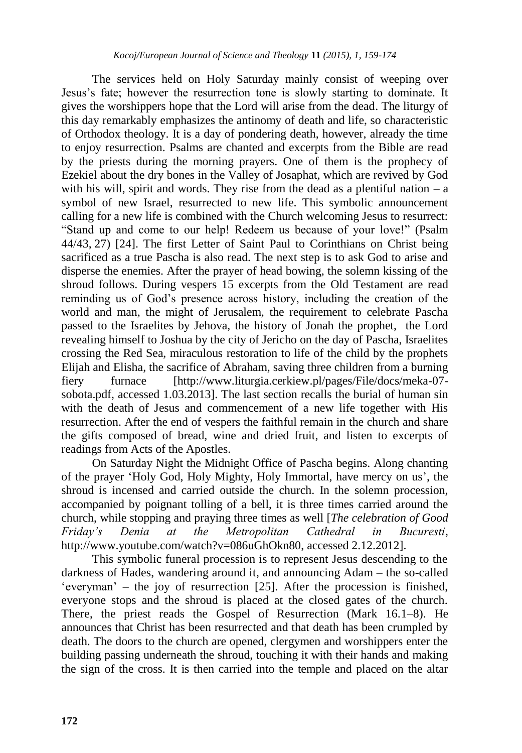The services held on Holy Saturday mainly consist of weeping over Jesus"s fate; however the resurrection tone is slowly starting to dominate. It gives the worshippers hope that the Lord will arise from the dead. The liturgy of this day remarkably emphasizes the antinomy of death and life, so characteristic of Orthodox theology. It is a day of pondering death, however, already the time to enjoy resurrection. Psalms are chanted and excerpts from the Bible are read by the priests during the morning prayers. One of them is the prophecy of Ezekiel about the dry bones in the Valley of Josaphat, which are revived by God with his will, spirit and words. They rise from the dead as a plentiful nation  $- a$ symbol of new Israel, resurrected to new life. This symbolic announcement calling for a new life is combined with the Church welcoming Jesus to resurrect: "Stand up and come to our help! Redeem us because of your love!" (Psalm 44/43, 27) [24]. The first Letter of Saint Paul to Corinthians on Christ being sacrificed as a true Pascha is also read. The next step is to ask God to arise and disperse the enemies. After the prayer of head bowing, the solemn kissing of the shroud follows. During vespers 15 excerpts from the Old Testament are read reminding us of God"s presence across history, including the creation of the world and man, the might of Jerusalem, the requirement to celebrate Pascha passed to the Israelites by Jehova, the history of Jonah the prophet, the Lord revealing himself to Joshua by the city of Jericho on the day of Pascha, Israelites crossing the Red Sea, miraculous restoration to life of the child by the prophets Elijah and Elisha, the sacrifice of Abraham, saving three children from a burning fiery furnace [http://www.liturgia.cerkiew.pl/pages/File/docs/meka-07 sobota.pdf, accessed 1.03.2013]. The last section recalls the burial of human sin with the death of Jesus and commencement of a new life together with His resurrection. After the end of vespers the faithful remain in the church and share the gifts composed of bread, wine and dried fruit, and listen to excerpts of readings from Acts of the Apostles.

On Saturday Night the Midnight Office of Pascha begins. Along chanting of the prayer 'Holy God, Holy Mighty, Holy Immortal, have mercy on us', the shroud is incensed and carried outside the church. In the solemn procession, accompanied by poignant tolling of a bell, it is three times carried around the church, while stopping and praying three times as well [*The celebration of Good Friday's Denia at the Metropolitan Cathedral in Bucuresti*, http://www.youtube.com/watch?v=086uGhOkn80, accessed 2.12.2012].

This symbolic funeral procession is to represent Jesus descending to the darkness of Hades, wandering around it, and announcing Adam – the so-called "everyman" – the joy of resurrection  $[25]$ . After the procession is finished, everyone stops and the shroud is placed at the closed gates of the church. There, the priest reads the Gospel of Resurrection (Mark 16.1–8). He announces that Christ has been resurrected and that death has been crumpled by death. The doors to the church are opened, clergymen and worshippers enter the building passing underneath the shroud, touching it with their hands and making the sign of the cross. It is then carried into the temple and placed on the altar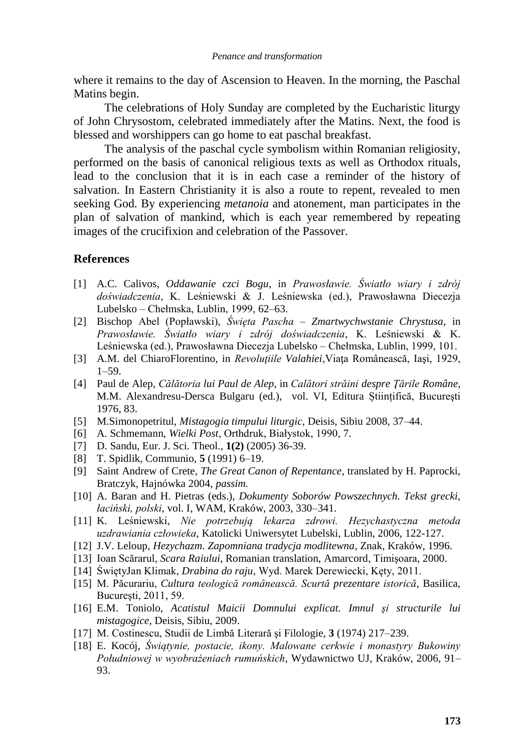where it remains to the day of Ascension to Heaven. In the morning, the Paschal Matins begin.

The celebrations of Holy Sunday are completed by the Eucharistic liturgy of John Chrysostom, celebrated immediately after the Matins. Next, the food is blessed and worshippers can go home to eat paschal breakfast.

The analysis of the paschal cycle symbolism within Romanian religiosity, performed on the basis of canonical religious texts as well as Orthodox rituals, lead to the conclusion that it is in each case a reminder of the history of salvation. In Eastern Christianity it is also a route to repent, revealed to men seeking God. By experiencing *metanoia* and atonement, man participates in the plan of salvation of mankind, which is each year remembered by repeating images of the crucifixion and celebration of the Passover.

### **References**

- [1] A.C. Calivos, *Oddawanie czci Bogu*, in *Prawosławie. Światło wiary i zdrój doświadczenia*, K. Leśniewski & J. Leśniewska (ed.), Prawosławna Diecezja Lubelsko – Chełmska, Lublin, 1999, 62–63.
- [2] Bischop Abel (Popławski), *Święta Pascha – Zmartwychwstanie Chrystusa*, in *Prawosławie. Światło wiary i zdrój doświadczenia*, K. Leśniewski & K. Leśniewska (ed.), Prawosławna Diecezja Lubelsko – Chełmska, Lublin, 1999, 101.
- [3] A.M. del ChiaroFlorentino, in *Revoluŝiile Valahiei*,Viaţa Românească, Iaşi, 1929, 1–59.
- [4] Paul de Alep, *Călătoria lui Paul de Alep*, in *Calători străini despre Ŝările Române*, M.M. Alexandresu-Dersca Bulgaru (ed.), vol. VI, Editura Științifică, Bucureşti 1976, 83.
- [5] M.Simonopetritul, *Mistagogia timpului liturgic*, Deisis, Sibiu 2008, 37–44.
- [6] A. Schmemann, *Wielki Post*, Orthdruk, Białystok, 1990, 7.
- [7] D. Sandu, Eur. J. Sci. Theol., **1(2)** (2005) 36-39.
- [8] T. Spidlik, Communio, **5** (1991) 6–19.
- [9] Saint Andrew of Crete, *The Great Canon of Repentance*, translated by H. Paprocki, Bratczyk, Hajnówka 2004, *passim.*
- [10] A. Baran and H. Pietras (eds.), *Dokumenty Soborów Powszechnych. Tekst grecki, łaciński, polski*, vol. I, WAM, Kraków, 2003, 330–341.
- [11] K. Leśniewski, *Nie potrzebują lekarza zdrowi. Hezychastyczna metoda uzdrawiania człowieka*, Katolicki Uniwersytet Lubelski, Lublin, 2006, 122-127.
- [12] J.V. Leloup, *Hezychazm. Zapomniana tradycja modlitewna*, Znak, Kraków, 1996.
- [13] Ioan Scărarul, *Scara Raiului*, Romanian translation, Amarcord, Timişoara, 2000.
- [14] ŚwiętyJan Klimak, *Drabina do raju*, Wyd. Marek Derewiecki, Kęty, 2011.
- [15] M. Păcurariu, *Cultura teologică românească. Scurtă prezentare istorică*, Basilica, Bucureşti, 2011, 59.
- [16] E.M. Toniolo, *Acatistul Maicii Domnului explicat. Imnul şi structurile lui mistagogice*, Deisis, Sibiu, 2009.
- [17] M. Costinescu, Studii de Limbă Literară şi Filologie, **3** (1974) 217–239.
- [18] E. Kocój, *Świątynie, postacie, ikony. Malowane cerkwie i monastyry Bukowiny Południowej w wyobrażeniach rumuńskich*, Wydawnictwo UJ, Kraków, 2006, 91– 93.